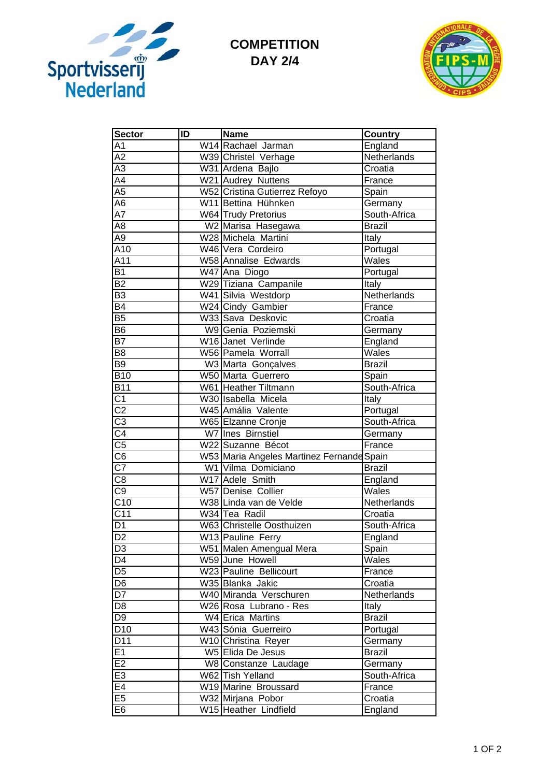

## **COMPETITION DAY 2/4**



| <b>Sector</b>                     | ID | <b>Name</b>                               | <b>Country</b> |
|-----------------------------------|----|-------------------------------------------|----------------|
| A1                                |    | W14 Rachael Jarman                        | England        |
| $\overline{A2}$                   |    | W39 Christel Verhage                      | Netherlands    |
| A3                                |    | W31 Ardena Bajlo                          | Croatia        |
| A4                                |    | W21 Audrey Nuttens                        | France         |
| $\overline{A5}$                   |    | W52 Cristina Gutierrez Refoyo             | Spain          |
| $\overline{A6}$                   |    | W11 Bettina Hühnken                       | Germany        |
| $\overline{A7}$                   |    | <b>W64</b> Trudy Pretorius                | South-Africa   |
| $\overline{AB}$                   |    | W2 Marisa Hasegawa                        | <b>Brazil</b>  |
| $\overline{A9}$                   |    | W28 Michela Martini                       | Italy          |
| A10                               |    | W46 Vera Cordeiro                         | Portugal       |
| A11                               |    | W58 Annalise Edwards                      | Wales          |
| <b>B1</b>                         |    | W47 Ana Diogo                             | Portugal       |
| $\overline{B2}$                   |    | W29 Tiziana Campanile                     | Italy          |
| B <sub>3</sub>                    |    | W41 Silvia Westdorp                       | Netherlands    |
| $\overline{B4}$                   |    | W24 Cindy Gambier                         | France         |
| B <sub>5</sub>                    |    | W33 Sava Deskovic                         | Croatia        |
| B <sub>6</sub>                    |    | W9 Genia Poziemski                        | Germany        |
| $\overline{B7}$                   |    | W16 Janet Verlinde                        | England        |
| $\overline{B8}$                   |    | W56 Pamela Worrall                        | Wales          |
| $\overline{B9}$                   |    | W3 Marta Gonçalves                        | <b>Brazil</b>  |
| <b>B10</b>                        |    | W50 Marta Guerrero                        | Spain          |
| <b>B11</b>                        |    | W61 Heather Tiltmann                      | South-Africa   |
| $\overline{C1}$                   |    | W30 Isabella Micela                       | Italy          |
| $\overline{C2}$                   |    | W45 Amália Valente                        | Portugal       |
| $\overline{C3}$                   |    | W65 Elzanne Cronje                        | South-Africa   |
| $\overline{C4}$                   |    | W7 Ines Birnstiel                         | Germany        |
| $\overline{C5}$                   |    | W22 Suzanne Bécot                         | France         |
| $\overline{\overline{\text{C6}}}$ |    | W53 Maria Angeles Martinez Fernande Spain |                |
| $\overline{C7}$                   |    | W1 Vilma Domiciano                        | <b>Brazil</b>  |
| C <sub>8</sub>                    |    | W17 Adele Smith                           | England        |
| $\overline{C9}$                   |    | W57 Denise Collier                        | Wales          |
| $\overline{C10}$                  |    | W38 Linda van de Velde                    | Netherlands    |
| $\overline{C11}$                  |    | W34 Tea Radil                             | Croatia        |
| $\overline{D1}$                   |    | W63 Christelle Oosthuizen                 | South-Africa   |
| $\overline{D2}$                   |    | W13 Pauline Ferry                         | England        |
| D <sub>3</sub>                    |    | W51 Malen Amengual Mera                   | Spain          |
| D <sub>4</sub>                    |    | W59 June Howell                           | Wales          |
| D <sub>5</sub>                    |    | W23 Pauline Bellicourt                    | France         |
| D <sub>6</sub>                    |    | W35 Blanka Jakic                          | Croatia        |
| D7                                |    | W40 Miranda Verschuren                    | Netherlands    |
| D <sub>8</sub>                    |    | W26 Rosa Lubrano - Res                    | Italy          |
| D <sub>9</sub>                    |    | W4 Erica Martins                          | <b>Brazil</b>  |
| D <sub>10</sub>                   |    | W43 Sónia Guerreiro                       | Portugal       |
| $\overline{D11}$                  |    | W10 Christina Reyer                       | Germany        |
| E1                                |    | W5 Elida De Jesus                         | <b>Brazil</b>  |
| E2                                |    | W8 Constanze Laudage                      | Germany        |
| E3                                |    | W62 Tish Yelland                          | South-Africa   |
| E4                                |    | W19 Marine Broussard                      | France         |
| E5                                |    | W32 Mirjana Pobor                         | Croatia        |
| E6                                |    | W15 Heather Lindfield                     | England        |